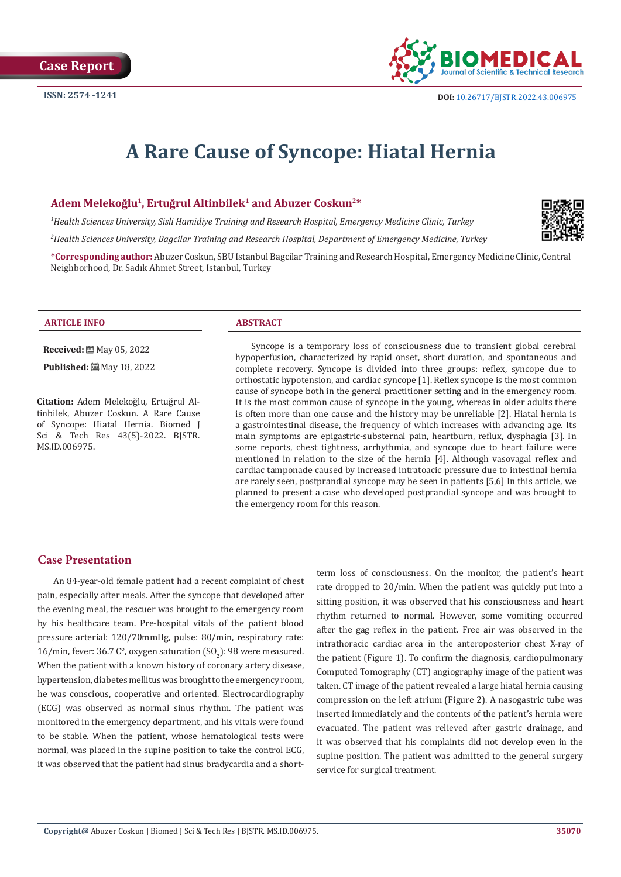

# **A Rare Cause of Syncope: Hiatal Hernia**

#### **Adem Melekoğlu<sup>1</sup>, Ertuğrul Altinbilek<sup>1</sup> and Abuzer Coskun2\***

*1 Health Sciences University, Sisli Hamidiye Training and Research Hospital, Emergency Medicine Clinic, Turkey*

*2 Health Sciences University, Bagcilar Training and Research Hospital, Department of Emergency Medicine, Turkey*

**\*Corresponding author:** Abuzer Coskun, SBU Istanbul Bagcilar Training and Research Hospital, Emergency Medicine Clinic, Central Neighborhood, Dr. Sadık Ahmet Street, Istanbul, Turkey



#### **ARTICLE INFO ABSTRACT**

**Received:** 圖 May 05, 2022

**Published:** ■ May 18, 2022

**Citation:** Adem Melekoğlu, Ertuğrul Altinbilek, Abuzer Coskun. A Rare Cause of Syncope: Hiatal Hernia. Biomed J Sci & Tech Res 43(5)-2022. BJSTR. MS.ID.006975.

Syncope is a temporary loss of consciousness due to transient global cerebral hypoperfusion, characterized by rapid onset, short duration, and spontaneous and complete recovery. Syncope is divided into three groups: reflex, syncope due to orthostatic hypotension, and cardiac syncope [1]. Reflex syncope is the most common cause of syncope both in the general practitioner setting and in the emergency room. It is the most common cause of syncope in the young, whereas in older adults there is often more than one cause and the history may be unreliable [2]. Hiatal hernia is a gastrointestinal disease, the frequency of which increases with advancing age. Its main symptoms are epigastric-substernal pain, heartburn, reflux, dysphagia [3]. In some reports, chest tightness, arrhythmia, and syncope due to heart failure were mentioned in relation to the size of the hernia [4]. Although vasovagal reflex and cardiac tamponade caused by increased intratoacic pressure due to intestinal hernia are rarely seen, postprandial syncope may be seen in patients [5,6] In this article, we planned to present a case who developed postprandial syncope and was brought to the emergency room for this reason.

### **Case Presentation**

An 84-year-old female patient had a recent complaint of chest pain, especially after meals. After the syncope that developed after the evening meal, the rescuer was brought to the emergency room by his healthcare team. Pre-hospital vitals of the patient blood pressure arterial: 120/70mmHg, pulse: 80/min, respiratory rate:  $16$ /min, fever: 36.7 C $^{\circ}$ , oxygen saturation (SO $_2$ ): 98 were measured. When the patient with a known history of coronary artery disease, hypertension, diabetes mellitus was brought to the emergency room, he was conscious, cooperative and oriented. Electrocardiography (ECG) was observed as normal sinus rhythm. The patient was monitored in the emergency department, and his vitals were found to be stable. When the patient, whose hematological tests were normal, was placed in the supine position to take the control ECG, it was observed that the patient had sinus bradycardia and a shortterm loss of consciousness. On the monitor, the patient's heart rate dropped to 20/min. When the patient was quickly put into a sitting position, it was observed that his consciousness and heart rhythm returned to normal. However, some vomiting occurred after the gag reflex in the patient. Free air was observed in the intrathoracic cardiac area in the anteroposterior chest X-ray of the patient (Figure 1). To confirm the diagnosis, cardiopulmonary Computed Tomography (CT) angiography image of the patient was taken. CT image of the patient revealed a large hiatal hernia causing compression on the left atrium (Figure 2). A nasogastric tube was inserted immediately and the contents of the patient's hernia were evacuated. The patient was relieved after gastric drainage, and it was observed that his complaints did not develop even in the supine position. The patient was admitted to the general surgery service for surgical treatment.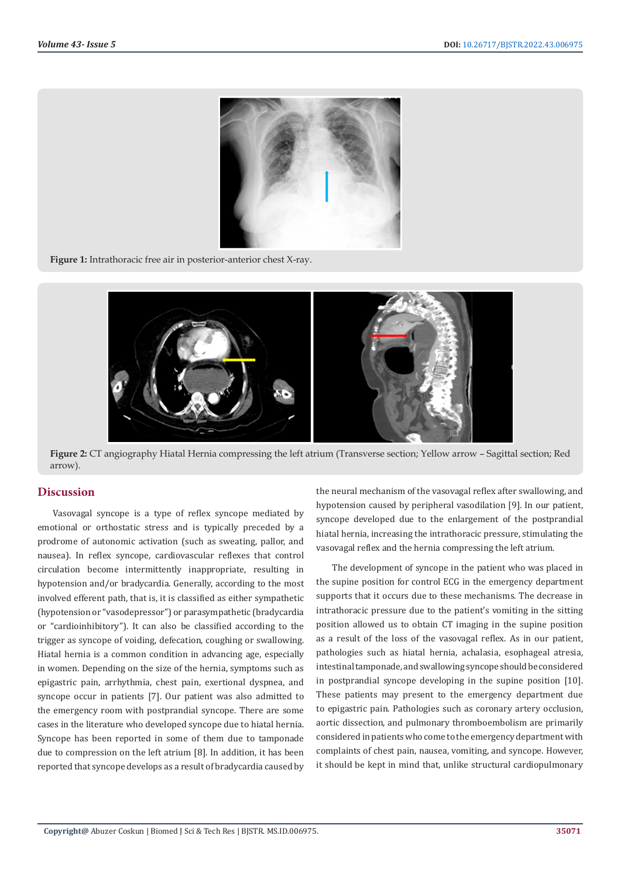

**Figure 1:** Intrathoracic free air in posterior-anterior chest X-ray.



**Figure 2:** CT angiography Hiatal Hernia compressing the left atrium (Transverse section; Yellow arrow – Sagittal section; Red arrow).

# **Discussion**

Vasovagal syncope is a type of reflex syncope mediated by emotional or orthostatic stress and is typically preceded by a prodrome of autonomic activation (such as sweating, pallor, and nausea). In reflex syncope, cardiovascular reflexes that control circulation become intermittently inappropriate, resulting in hypotension and/or bradycardia. Generally, according to the most involved efferent path, that is, it is classified as either sympathetic (hypotension or "vasodepressor") or parasympathetic (bradycardia or "cardioinhibitory"). It can also be classified according to the trigger as syncope of voiding, defecation, coughing or swallowing. Hiatal hernia is a common condition in advancing age, especially in women. Depending on the size of the hernia, symptoms such as epigastric pain, arrhythmia, chest pain, exertional dyspnea, and syncope occur in patients [7]. Our patient was also admitted to the emergency room with postprandial syncope. There are some cases in the literature who developed syncope due to hiatal hernia. Syncope has been reported in some of them due to tamponade due to compression on the left atrium [8]. In addition, it has been reported that syncope develops as a result of bradycardia caused by

the neural mechanism of the vasovagal reflex after swallowing, and hypotension caused by peripheral vasodilation [9]. In our patient, syncope developed due to the enlargement of the postprandial hiatal hernia, increasing the intrathoracic pressure, stimulating the vasovagal reflex and the hernia compressing the left atrium.

The development of syncope in the patient who was placed in the supine position for control ECG in the emergency department supports that it occurs due to these mechanisms. The decrease in intrathoracic pressure due to the patient's vomiting in the sitting position allowed us to obtain CT imaging in the supine position as a result of the loss of the vasovagal reflex. As in our patient, pathologies such as hiatal hernia, achalasia, esophageal atresia, intestinal tamponade, and swallowing syncope should be considered in postprandial syncope developing in the supine position [10]. These patients may present to the emergency department due to epigastric pain. Pathologies such as coronary artery occlusion, aortic dissection, and pulmonary thromboembolism are primarily considered in patients who come to the emergency department with complaints of chest pain, nausea, vomiting, and syncope. However, it should be kept in mind that, unlike structural cardiopulmonary